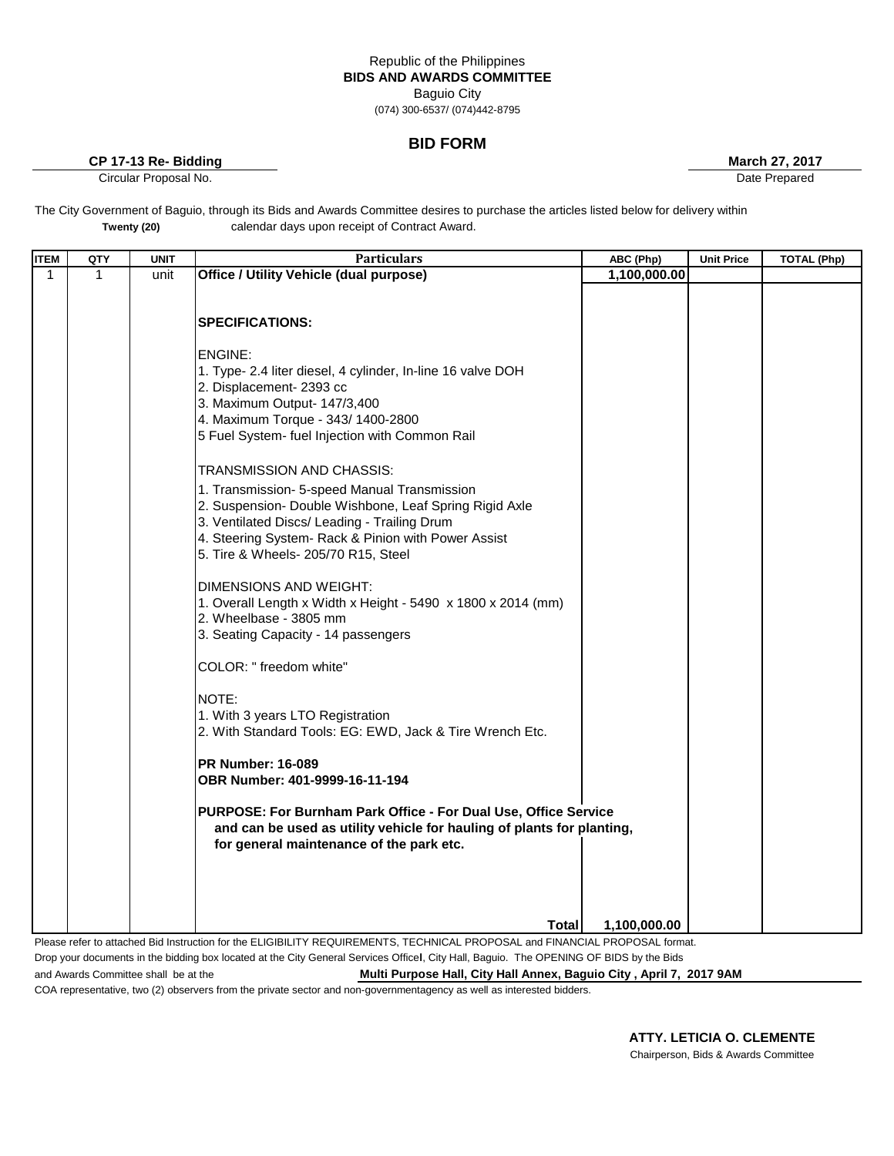## Republic of the Philippines **BIDS AND AWARDS COMMITTEE** Baguio City

(074) 300-6537/ (074)442-8795

## **BID FORM**

**CP 17-13 Re- Bidding 27, 2017 March 27, 2017** 

Circular Proposal No. **Date Prepared** Date Prepared **Circular Proposal No.** 2014

The City Government of Baguio, through its Bids and Awards Committee desires to purchase the articles listed below for delivery within calendar days upon receipt of Contract Award. **Twenty (20)**

| $\mathbf{1}$<br>1<br>unit<br>1,100,000.00<br><b>SPECIFICATIONS:</b><br>ENGINE:<br>1. Type- 2.4 liter diesel, 4 cylinder, In-line 16 valve DOH<br>2. Displacement- 2393 cc<br>3. Maximum Output- 147/3,400<br>4. Maximum Torque - 343/ 1400-2800<br>5 Fuel System- fuel Injection with Common Rail<br>TRANSMISSION AND CHASSIS:<br>1. Transmission- 5-speed Manual Transmission<br>2. Suspension- Double Wishbone, Leaf Spring Rigid Axle<br>3. Ventilated Discs/ Leading - Trailing Drum<br>4. Steering System- Rack & Pinion with Power Assist<br>5. Tire & Wheels- 205/70 R15, Steel<br>DIMENSIONS AND WEIGHT:<br>1. Overall Length x Width x Height - 5490 x 1800 x 2014 (mm)<br>2. Wheelbase - 3805 mm<br>3. Seating Capacity - 14 passengers<br>COLOR: " freedom white"<br>NOTE:<br>1. With 3 years LTO Registration<br>2. With Standard Tools: EG: EWD, Jack & Tire Wrench Etc.<br><b>PR Number: 16-089</b><br>OBR Number: 401-9999-16-11-194<br>PURPOSE: For Burnham Park Office - For Dual Use, Office Service<br>and can be used as utility vehicle for hauling of plants for planting,<br>for general maintenance of the park etc. | <b>ITEM</b> | QTY | <b>UNIT</b> | <b>Particulars</b>                             | ABC (Php) | <b>Unit Price</b> | <b>TOTAL (Php)</b> |
|----------------------------------------------------------------------------------------------------------------------------------------------------------------------------------------------------------------------------------------------------------------------------------------------------------------------------------------------------------------------------------------------------------------------------------------------------------------------------------------------------------------------------------------------------------------------------------------------------------------------------------------------------------------------------------------------------------------------------------------------------------------------------------------------------------------------------------------------------------------------------------------------------------------------------------------------------------------------------------------------------------------------------------------------------------------------------------------------------------------------------------------------|-------------|-----|-------------|------------------------------------------------|-----------|-------------------|--------------------|
|                                                                                                                                                                                                                                                                                                                                                                                                                                                                                                                                                                                                                                                                                                                                                                                                                                                                                                                                                                                                                                                                                                                                              |             |     |             |                                                |           |                   |                    |
|                                                                                                                                                                                                                                                                                                                                                                                                                                                                                                                                                                                                                                                                                                                                                                                                                                                                                                                                                                                                                                                                                                                                              |             |     |             | <b>Office / Utility Vehicle (dual purpose)</b> |           |                   |                    |
| Total<br>1,100,000.00                                                                                                                                                                                                                                                                                                                                                                                                                                                                                                                                                                                                                                                                                                                                                                                                                                                                                                                                                                                                                                                                                                                        |             |     |             |                                                |           |                   |                    |

Please refer to attached Bid Instruction for the ELIGIBILITY REQUIREMENTS, TECHNICAL PROPOSAL and FINANCIAL PROPOSAL format. Drop your documents in the bidding box located at the City General Services Office**l**, City Hall, Baguio. The OPENING OF BIDS by the Bids and Awards Committee shall be at the **Multi Purpose Hall, City Hall Annex, Baguio City, April 7, 2017 9AM** 

COA representative, two (2) observers from the private sector and non-governmentagency as well as interested bidders.